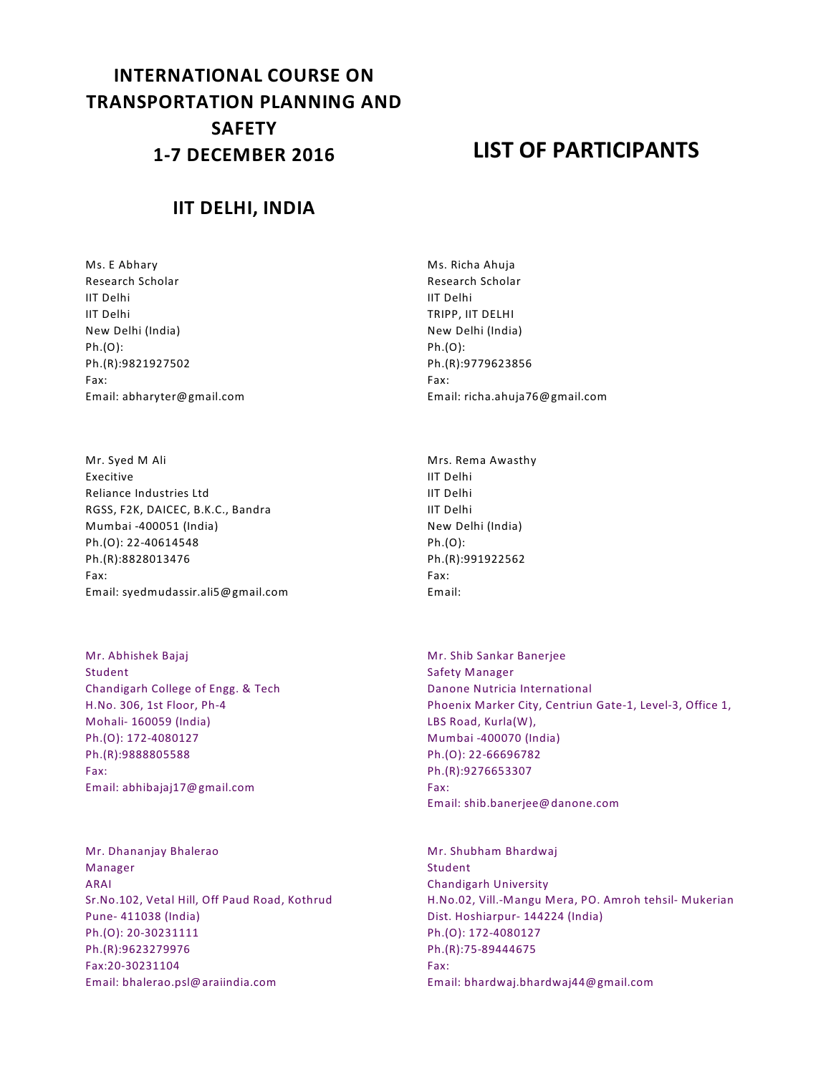# **INTERNATIONAL COURSE ON TRANSPORTATION PLANNING AND SAFETY 1-7 DECEMBER 2016**

## **LIST OF PARTICIPANTS**

#### **IIT DELHI, INDIA**

Ms. E Abhary Research Scholar IIT Delhi IIT Delhi New Delhi (India) Ph.(O): Ph.(R):9821927502 Fax: Email: abharyter@gmail.com

Mr. Syed M Ali Execitive Reliance Industries Ltd RGSS, F2K, DAICEC, B.K.C., Bandra Mumbai -400051 (India) Ph.(O): 22-40614548 Ph.(R):8828013476 Fax: Email: syedmudassir.ali5@gmail.com

Mr. Abhishek Bajaj Student Chandigarh College of Engg. & Tech H.No. 306, 1st Floor, Ph-4 Mohali- 160059 (India) Ph.(O): 172-4080127 Ph.(R):9888805588 Fax: Email: abhibajaj17@gmail.com

Mr. Dhananjay Bhalerao Manager ARAI Sr.No.102, Vetal Hill, Off Paud Road, Kothrud Pune- 411038 (India) Ph.(O): 20-30231111 Ph.(R):9623279976 Fax:20-30231104 Email: bhalerao.psl@araiindia.com

Ms. Richa Ahuja Research Scholar IIT Delhi TRIPP, IIT DELHI New Delhi (India) Ph.(O): Ph.(R):9779623856 Fax: Email: richa.ahuja76@gmail.com

Mrs. Rema Awasthy IIT Delhi IIT Delhi IIT Delhi New Delhi (India) Ph.(O): Ph.(R):991922562 Fax: Email:

Mr. Shib Sankar Banerjee Safety Manager Danone Nutricia International Phoenix Marker City, Centriun Gate-1, Level-3, Office 1, LBS Road, Kurla(W), Mumbai -400070 (India) Ph.(O): 22-66696782 Ph.(R):9276653307 Fax: Email: shib.banerjee@danone.com

Mr. Shubham Bhardwaj Student Chandigarh University H.No.02, Vill.-Mangu Mera, PO. Amroh tehsil- Mukerian Dist. Hoshiarpur- 144224 (India) Ph.(O): 172-4080127 Ph.(R):75-89444675 Fax: Email: bhardwaj.bhardwaj44@gmail.com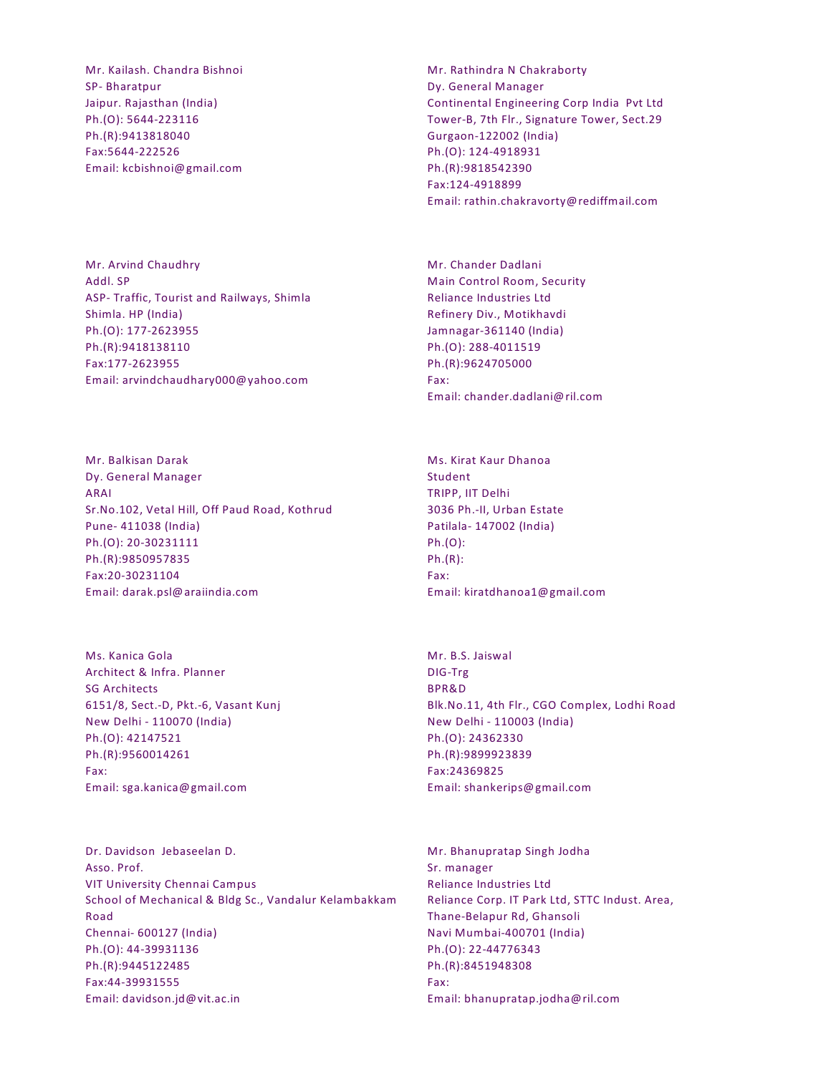Mr. Kailash. Chandra Bishnoi SP- Bharatpur Jaipur. Rajasthan (India) Ph.(O): 5644-223116 Ph.(R):9413818040 Fax:5644-222526 Email: kcbishnoi@gmail.com Mr. Rathindra N Chakraborty Dy. General Manager Continental Engineering Corp India Pvt Ltd Tower-B, 7th Flr., Signature Tower, Sect.29 Gurgaon-122002 (India) Ph.(O): 124-4918931 Ph.(R):9818542390 Fax:124-4918899 Email: rathin.chakravorty@rediffmail.com

Mr. Arvind Chaudhry Addl. SP ASP- Traffic, Tourist and Railways, Shimla Shimla. HP (India) Ph.(O): 177-2623955 Ph.(R):9418138110 Fax:177-2623955 Email: arvindchaudhary000@yahoo.com

Mr. Balkisan Darak Dy. General Manager ARAI Sr.No.102, Vetal Hill, Off Paud Road, Kothrud Pune- 411038 (India) Ph.(O): 20-30231111 Ph.(R):9850957835 Fax:20-30231104 Email: darak.psl@araiindia.com

Ms. Kanica Gola Architect & Infra. Planner SG Architects 6151/8, Sect.-D, Pkt.-6, Vasant Kunj New Delhi - 110070 (India) Ph.(O): 42147521 Ph.(R):9560014261 Fax: Email: sga.kanica@gmail.com

Dr. Davidson Jebaseelan D. Asso. Prof. VIT University Chennai Campus School of Mechanical & Bldg Sc., Vandalur Kelambakkam Road Chennai- 600127 (India) Ph.(O): 44-39931136 Ph.(R):9445122485 Fax:44-39931555 Email: davidson.jd@vit.ac.in

Mr. Chander Dadlani Main Control Room, Security Reliance Industries Ltd Refinery Div., Motikhavdi Jamnagar-361140 (India) Ph.(O): 288-4011519 Ph.(R):9624705000 Fax: Email: chander.dadlani@ril.com

Ms. Kirat Kaur Dhanoa Student TRIPP, IIT Delhi 3036 Ph.-II, Urban Estate Patilala- 147002 (India) Ph.(O): Ph.(R): Fax: Email: kiratdhanoa1@gmail.com

Mr. B.S. Jaiswal DIG-Trg BPR&D Blk.No.11, 4th Flr., CGO Complex, Lodhi Road New Delhi - 110003 (India) Ph.(O): 24362330 Ph.(R):9899923839 Fax:24369825 Email: shankerips@gmail.com

Mr. Bhanupratap Singh Jodha Sr. manager Reliance Industries Ltd Reliance Corp. IT Park Ltd, STTC Indust. Area, Thane-Belapur Rd, Ghansoli Navi Mumbai-400701 (India) Ph.(O): 22-44776343 Ph.(R):8451948308 Fax: Email: bhanupratap.jodha@ril.com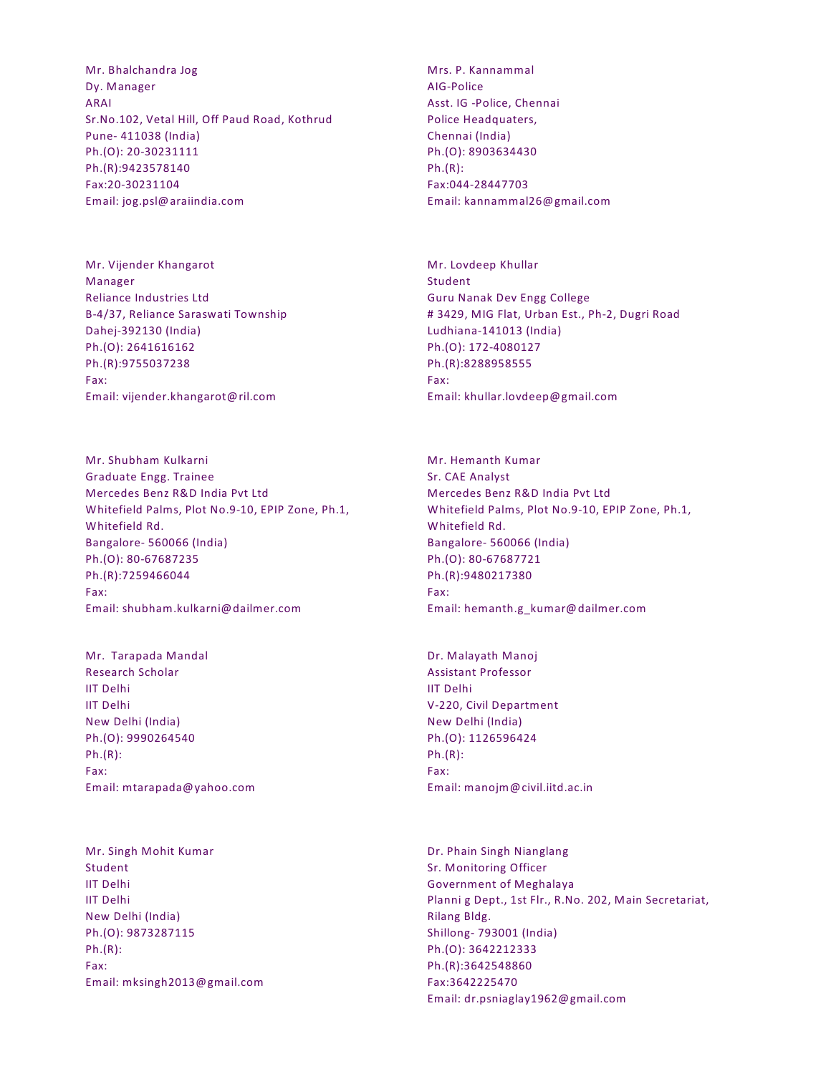Mr. Bhalchandra Jog Dy. Manager ARAI Sr.No.102, Vetal Hill, Off Paud Road, Kothrud Pune- 411038 (India) Ph.(O): 20-30231111 Ph.(R):9423578140 Fax:20-30231104 Email: jog.psl@araiindia.com

Mr. Vijender Khangarot Manager Reliance Industries Ltd B-4/37, Reliance Saraswati Township Dahej-392130 (India) Ph.(O): 2641616162 Ph.(R):9755037238 Fax: Email: vijender.khangarot@ril.com

Mr. Shubham Kulkarni Graduate Engg. Trainee Mercedes Benz R&D India Pvt Ltd Whitefield Palms, Plot No.9-10, EPIP Zone, Ph.1, Whitefield Rd. Bangalore- 560066 (India) Ph.(O): 80-67687235 Ph.(R):7259466044 Fax: Email: shubham.kulkarni@dailmer.com

Mr. Tarapada Mandal Research Scholar IIT Delhi IIT Delhi New Delhi (India) Ph.(O): 9990264540 Ph.(R): Fax: Email: mtarapada@yahoo.com

Mr. Singh Mohit Kumar Student IIT Delhi IIT Delhi New Delhi (India) Ph.(O): 9873287115 Ph.(R): Fax: Email: mksingh2013@gmail.com Mrs. P. Kannammal AIG-Police Asst. IG -Police, Chennai Police Headquaters, Chennai (India) Ph.(O): 8903634430 Ph.(R): Fax:044-28447703 Email: kannammal26@gmail.com

Mr. Lovdeep Khullar Student Guru Nanak Dev Engg College # 3429, MIG Flat, Urban Est., Ph-2, Dugri Road Ludhiana-141013 (India) Ph.(O): 172-4080127 Ph.(R):8288958555 Fax: Email: khullar.lovdeep@gmail.com

Mr. Hemanth Kumar Sr. CAE Analyst Mercedes Benz R&D India Pvt Ltd Whitefield Palms, Plot No.9-10, EPIP Zone, Ph.1, Whitefield Rd. Bangalore- 560066 (India) Ph.(O): 80-67687721 Ph.(R):9480217380 Fax: Email: hemanth.g\_kumar@dailmer.com

Dr. Malayath Manoj Assistant Professor IIT Delhi V-220, Civil Department New Delhi (India) Ph.(O): 1126596424 Ph.(R): Fax: Email: manojm@civil.iitd.ac.in

Dr. Phain Singh Nianglang Sr. Monitoring Officer Government of Meghalaya Planni g Dept., 1st Flr., R.No. 202, Main Secretariat, Rilang Bldg. Shillong- 793001 (India) Ph.(O): 3642212333 Ph.(R):3642548860 Fax:3642225470 Email: dr.psniaglay1962@gmail.com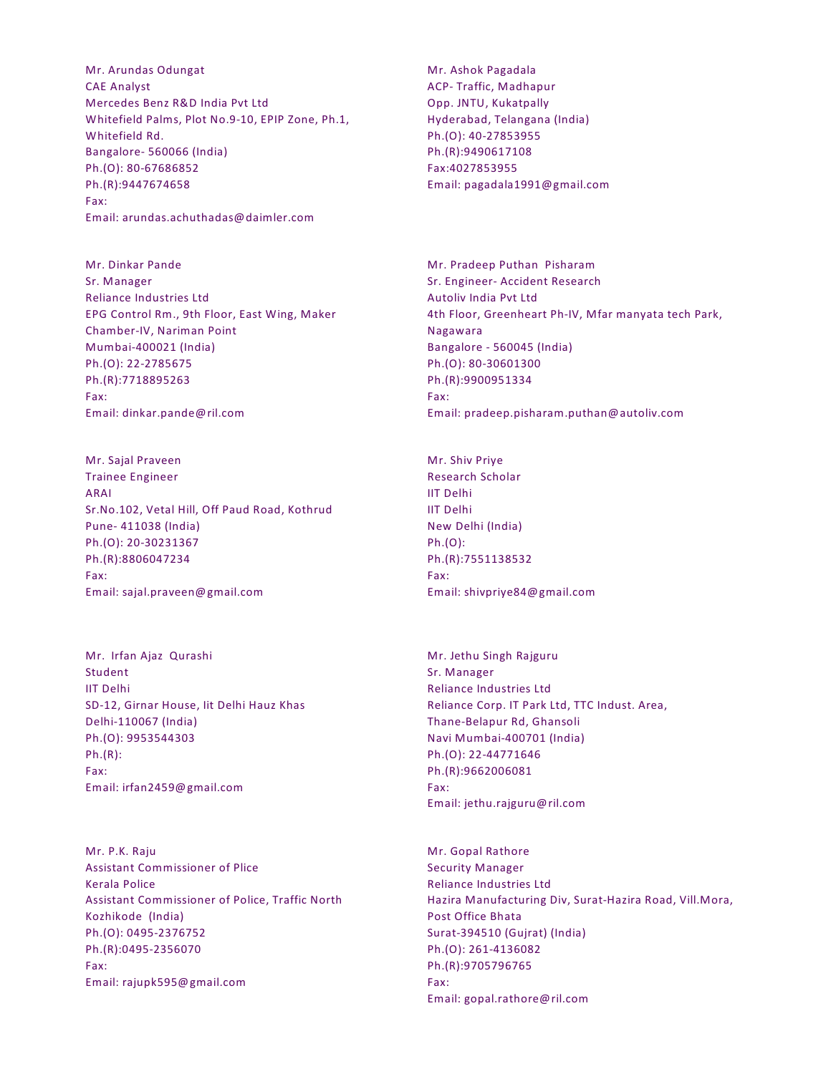Mr. Arundas Odungat CAE Analyst Mercedes Benz R&D India Pvt Ltd Whitefield Palms, Plot No.9-10, EPIP Zone, Ph.1, Whitefield Rd. Bangalore- 560066 (India) Ph.(O): 80-67686852 Ph.(R):9447674658 Fax: Email: arundas.achuthadas@daimler.com

Mr. Dinkar Pande Sr. Manager Reliance Industries Ltd EPG Control Rm., 9th Floor, East Wing, Maker Chamber-IV, Nariman Point Mumbai-400021 (India) Ph.(O): 22-2785675 Ph.(R):7718895263 Fax: Email: dinkar.pande@ril.com

Mr. Sajal Praveen Trainee Engineer ARAI Sr.No.102, Vetal Hill, Off Paud Road, Kothrud Pune- 411038 (India) Ph.(O): 20-30231367 Ph.(R):8806047234 Fax: Email: sajal.praveen@gmail.com

Mr. Irfan Ajaz Qurashi Student IIT Delhi SD-12, Girnar House, Iit Delhi Hauz Khas Delhi-110067 (India) Ph.(O): 9953544303 Ph.(R): Fax: Email: irfan2459@gmail.com

Mr. P.K. Raju Assistant Commissioner of Plice Kerala Police Assistant Commissioner of Police, Traffic North Kozhikode (India) Ph.(O): 0495-2376752 Ph.(R):0495-2356070 Fax: Email: rajupk595@gmail.com

Mr. Ashok Pagadala ACP- Traffic, Madhapur Opp. JNTU, Kukatpally Hyderabad, Telangana (India) Ph.(O): 40-27853955 Ph.(R):9490617108 Fax:4027853955 Email: pagadala1991@gmail.com

Mr. Pradeep Puthan Pisharam Sr. Engineer- Accident Research Autoliv India Pvt Ltd 4th Floor, Greenheart Ph-IV, Mfar manyata tech Park, Nagawara Bangalore - 560045 (India) Ph.(O): 80-30601300 Ph.(R):9900951334 Fax: Email: pradeep.pisharam.puthan@autoliv.com

Mr. Shiv Priye Research Scholar IIT Delhi IIT Delhi New Delhi (India) Ph.(O): Ph.(R):7551138532 Fax: Email: shivpriye84@gmail.com

Mr. Jethu Singh Rajguru Sr. Manager Reliance Industries Ltd Reliance Corp. IT Park Ltd, TTC Indust. Area, Thane-Belapur Rd, Ghansoli Navi Mumbai-400701 (India) Ph.(O): 22-44771646 Ph.(R):9662006081 Fax: Email: jethu.rajguru@ril.com

Mr. Gopal Rathore Security Manager Reliance Industries Ltd Hazira Manufacturing Div, Surat-Hazira Road, Vill.Mora, Post Office Bhata Surat-394510 (Gujrat) (India) Ph.(O): 261-4136082 Ph.(R):9705796765 Fax: Email: gopal.rathore@ril.com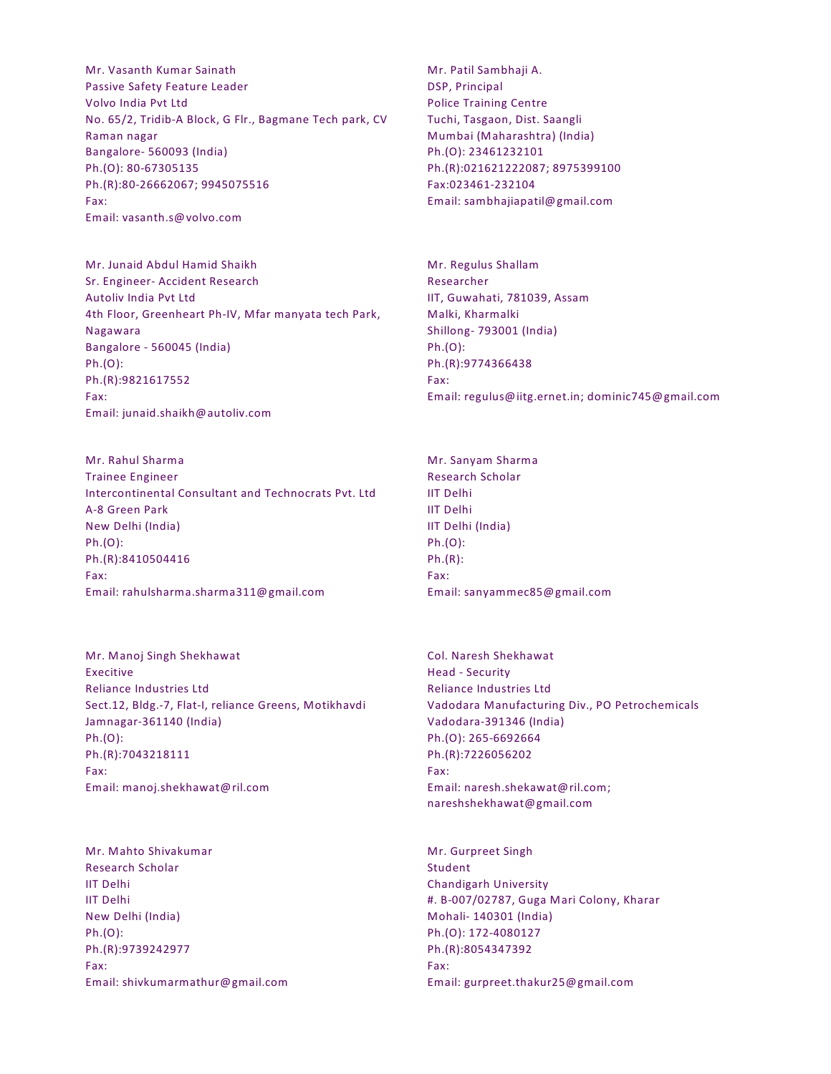Mr. Vasanth Kumar Sainath Passive Safety Feature Leader Volvo India Pvt Ltd No. 65/2, Tridib-A Block, G Flr., Bagmane Tech park, CV Raman nagar Bangalore- 560093 (India) Ph.(O): 80-67305135 Ph.(R):80-26662067; 9945075516 Fax: Email: vasanth.s@volvo.com

Mr. Junaid Abdul Hamid Shaikh Sr. Engineer- Accident Research Autoliv India Pvt Ltd 4th Floor, Greenheart Ph-IV, Mfar manyata tech Park, Nagawara Bangalore - 560045 (India) Ph.(O): Ph.(R):9821617552 Fax: Email: junaid.shaikh@autoliv.com

Mr. Rahul Sharma Trainee Engineer Intercontinental Consultant and Technocrats Pvt. Ltd A-8 Green Park New Delhi (India) Ph.(O): Ph.(R):8410504416 Fax: Email: rahulsharma.sharma311@gmail.com

Mr. Manoj Singh Shekhawat Execitive Reliance Industries Ltd Sect.12, Bldg.-7, Flat-I, reliance Greens, Motikhavdi Jamnagar-361140 (India) Ph.(O): Ph.(R):7043218111 Fax: Email: manoj.shekhawat@ril.com

Mr. Mahto Shivakumar Research Scholar IIT Delhi IIT Delhi New Delhi (India) Ph.(O): Ph.(R):9739242977 Fax: Email: shivkumarmathur@gmail.com Mr. Patil Sambhaji A. DSP, Principal Police Training Centre Tuchi, Tasgaon, Dist. Saangli Mumbai (Maharashtra) (India) Ph.(O): 23461232101 Ph.(R):021621222087; 8975399100 Fax:023461-232104 Email: sambhajiapatil@gmail.com

Mr. Regulus Shallam Researcher IIT, Guwahati, 781039, Assam Malki, Kharmalki Shillong- 793001 (India) Ph.(O): Ph.(R):9774366438 Fax: Email: regulus@iitg.ernet.in; dominic745@gmail.com

Mr. Sanyam Sharma Research Scholar IIT Delhi IIT Delhi IIT Delhi (India) Ph.(O): Ph.(R): Fax: Email: sanyammec85@gmail.com

Col. Naresh Shekhawat Head - Security Reliance Industries Ltd Vadodara Manufacturing Div., PO Petrochemicals Vadodara-391346 (India) Ph.(O): 265-6692664 Ph.(R):7226056202 Fax: Email: naresh.shekawat@ril.com; nareshshekhawat@gmail.com

Mr. Gurpreet Singh Student Chandigarh University #. B-007/02787, Guga Mari Colony, Kharar Mohali- 140301 (India) Ph.(O): 172-4080127 Ph.(R):8054347392 Fax: Email: gurpreet.thakur25@gmail.com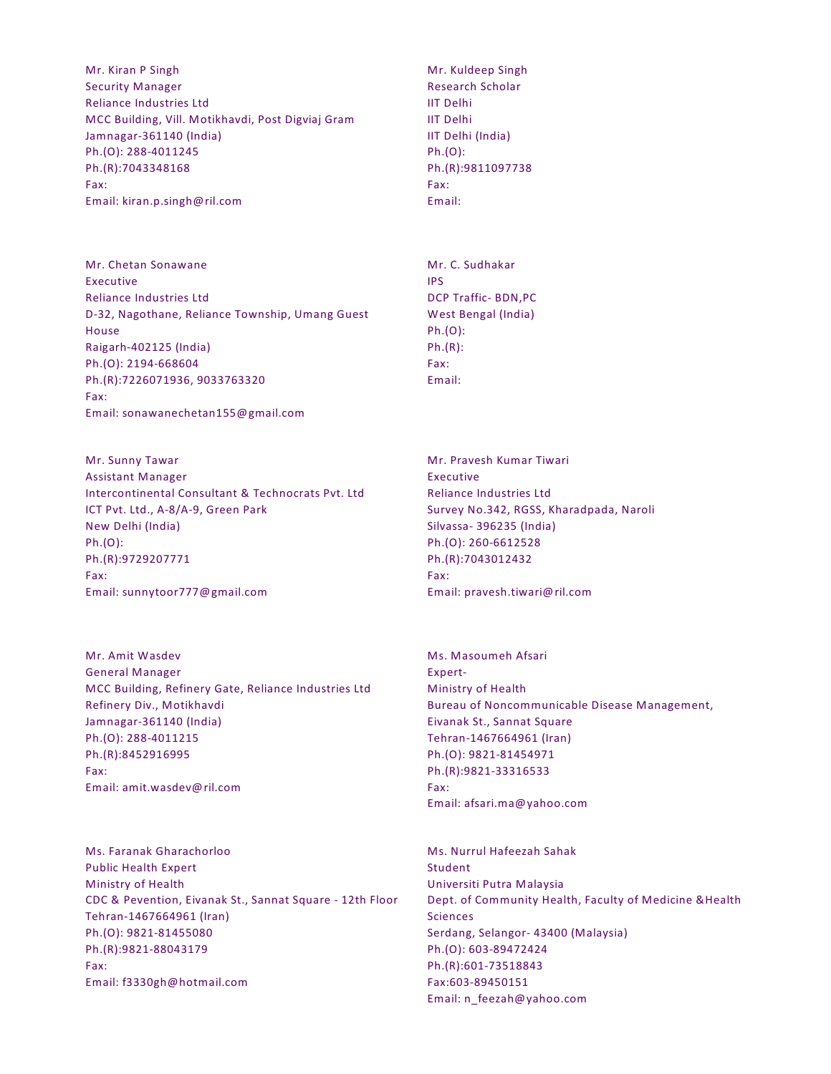Mr. Kiran P Singh Security Manager Reliance Industries Ltd MCC Building, Vill. Motikhavdi, Post Digviaj Gram Jamnagar-361140 (India) Ph.(O): 288-4011245 Ph.(R):7043348168 Fax: Email: kiran.p.singh@ril.com

Mr. Chetan Sonawane Executive Reliance Industries Ltd D-32, Nagothane, Reliance Township, Umang Guest House Raigarh-402125 (India) Ph.(O): 2194-668604 Ph.(R):7226071936, 9033763320 Fax: Email: sonawanechetan155@gmail.com

Mr. Sunny Tawar Assistant Manager Intercontinental Consultant & Technocrats Pvt. Ltd ICT Pvt. Ltd., A-8/A-9, Green Park New Delhi (India) Ph.(O): Ph.(R):9729207771 Fax: Email: sunnytoor777@gmail.com

Mr. Amit Wasdev General Manager MCC Building, Refinery Gate, Reliance Industries Ltd Refinery Div., Motikhavdi Jamnagar-361140 (India) Ph.(O): 288-4011215 Ph.(R):8452916995 Fax: Email: amit.wasdev@ril.com

Ms. Faranak Gharachorloo Public Health Expert Ministry of Health CDC & Pevention, Eivanak St., Sannat Square - 12th Floor Tehran-1467664961 (Iran) Ph.(O): 9821-81455080 Ph.(R):9821-88043179 Fax: Email: f3330gh@hotmail.com

Mr. Kuldeep Singh Research Scholar IIT Delhi IIT Delhi IIT Delhi (India) Ph.(O): Ph.(R):9811097738 Fax: Email:

Mr. C. Sudhakar IPS DCP Traffic- BDN,PC West Bengal (India) Ph.(O): Ph.(R): Fax: Email:

Mr. Pravesh Kumar Tiwari Executive Reliance Industries Ltd Survey No.342, RGSS, Kharadpada, Naroli Silvassa- 396235 (India) Ph.(O): 260-6612528 Ph.(R):7043012432 Fax: Email: pravesh.tiwari@ril.com

Ms. Masoumeh Afsari Expert-Ministry of Health Bureau of Noncommunicable Disease Management, Eivanak St., Sannat Square Tehran-1467664961 (Iran) Ph.(O): 9821-81454971 Ph.(R):9821-33316533 Fax: Email: afsari.ma@yahoo.com

Ms. Nurrul Hafeezah Sahak Student Universiti Putra Malaysia Dept. of Community Health, Faculty of Medicine &Health **Sciences** Serdang, Selangor- 43400 (Malaysia) Ph.(O): 603-89472424 Ph.(R):601-73518843 Fax:603-89450151 Email: n\_feezah@yahoo.com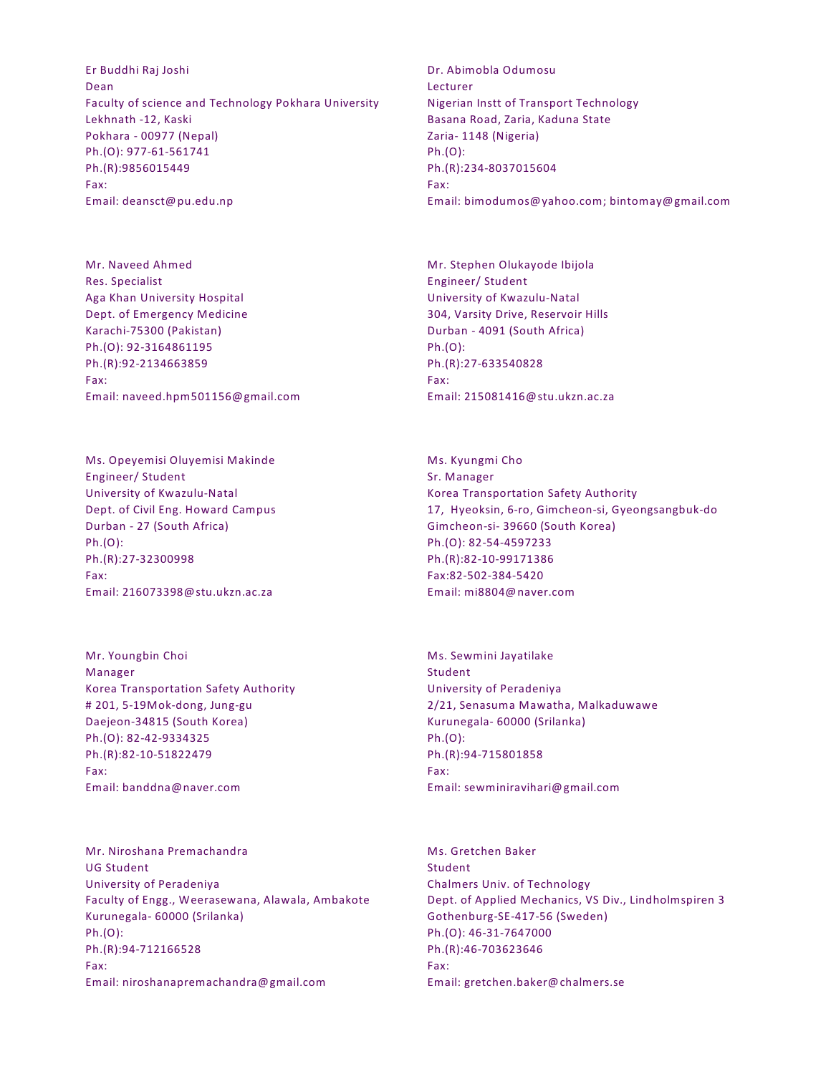Er Buddhi Raj Joshi Dean Faculty of science and Technology Pokhara University Lekhnath -12, Kaski Pokhara - 00977 (Nepal) Ph.(O): 977-61-561741 Ph.(R):9856015449 Fax: Email: deansct@pu.edu.np

Mr. Naveed Ahmed Res. Specialist Aga Khan University Hospital Dept. of Emergency Medicine Karachi-75300 (Pakistan) Ph.(O): 92-3164861195 Ph.(R):92-2134663859 Fax: Email: naveed.hpm501156@gmail.com

Ms. Opeyemisi Oluyemisi Makinde Engineer/ Student University of Kwazulu-Natal Dept. of Civil Eng. Howard Campus Durban - 27 (South Africa) Ph.(O): Ph.(R):27-32300998 Fax: Email: 216073398@stu.ukzn.ac.za

Mr. Youngbin Choi Manager Korea Transportation Safety Authority # 201, 5-19Mok-dong, Jung-gu Daejeon-34815 (South Korea) Ph.(O): 82-42-9334325 Ph.(R):82-10-51822479 Fax: Email: banddna@naver.com

Mr. Niroshana Premachandra UG Student University of Peradeniya Faculty of Engg., Weerasewana, Alawala, Ambakote Kurunegala- 60000 (Srilanka) Ph.(O): Ph.(R):94-712166528 Fax: Email: niroshanapremachandra@gmail.com

Dr. Abimobla Odumosu Lecturer Nigerian Instt of Transport Technology Basana Road, Zaria, Kaduna State Zaria- 1148 (Nigeria) Ph.(O): Ph.(R):234-8037015604 Fax: Email: bimodumos@yahoo.com; bintomay@gmail.com

Mr. Stephen Olukayode Ibijola Engineer/ Student University of Kwazulu-Natal 304, Varsity Drive, Reservoir Hills Durban - 4091 (South Africa) Ph.(O): Ph.(R):27-633540828 Fax: Email: 215081416@stu.ukzn.ac.za

Ms. Kyungmi Cho Sr. Manager Korea Transportation Safety Authority 17, Hyeoksin, 6-ro, Gimcheon-si, Gyeongsangbuk-do Gimcheon-si- 39660 (South Korea) Ph.(O): 82-54-4597233 Ph.(R):82-10-99171386 Fax:82-502-384-5420 Email: mi8804@naver.com

Ms. Sewmini Jayatilake Student University of Peradeniya 2/21, Senasuma Mawatha, Malkaduwawe Kurunegala- 60000 (Srilanka) Ph.(O): Ph.(R):94-715801858 Fax: Email: sewminiravihari@gmail.com

Ms. Gretchen Baker Student Chalmers Univ. of Technology Dept. of Applied Mechanics, VS Div., Lindholmspiren 3 Gothenburg-SE-417-56 (Sweden) Ph.(O): 46-31-7647000 Ph.(R):46-703623646 Fax: Email: gretchen.baker@chalmers.se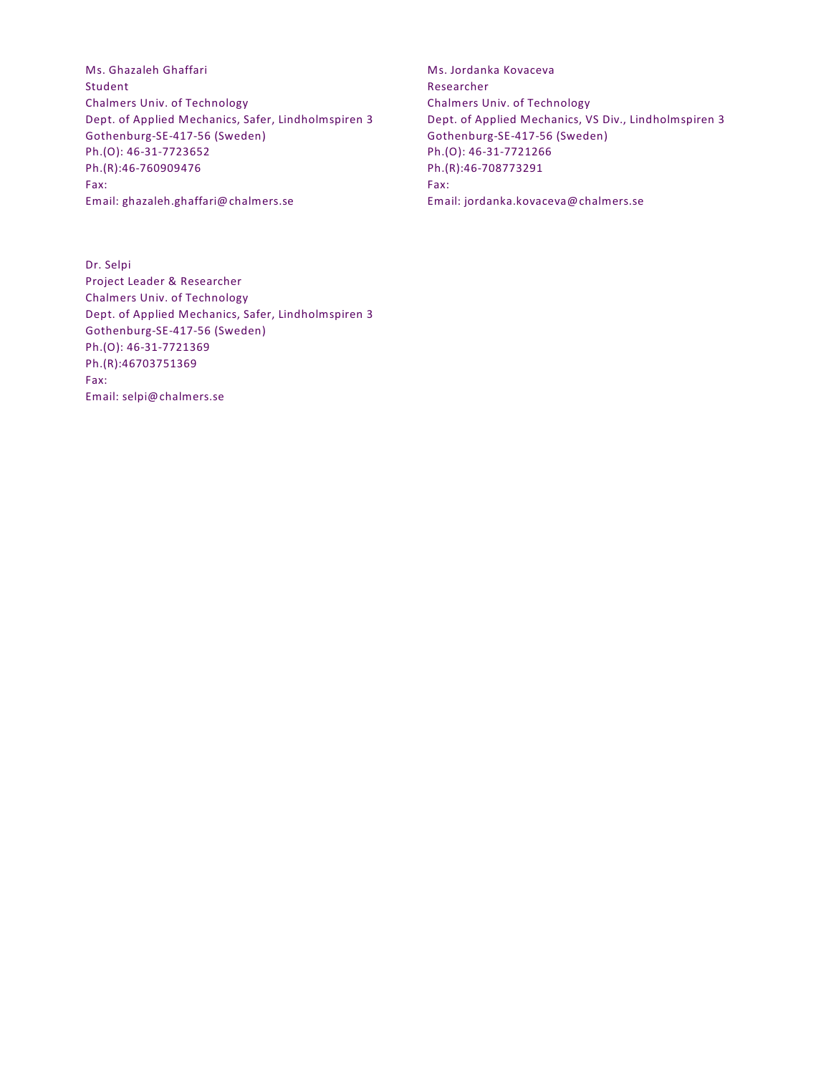Ms. Ghazaleh Ghaffari Student Chalmers Univ. of Technology Dept. of Applied Mechanics, Safer, Lindholmspiren 3 Gothenburg-SE-417-56 (Sweden) Ph.(O): 46-31-7723652 Ph.(R):46-760909476 Fax: Email: ghazaleh.ghaffari@chalmers.se

Dr. Selpi Project Leader & Researcher Chalmers Univ. of Technology Dept. of Applied Mechanics, Safer, Lindholmspiren 3 Gothenburg-SE-417-56 (Sweden) Ph.(O): 46-31-7721369 Ph.(R):46703751369 Fax: Email: selpi@chalmers.se

Ms. Jordanka Kovaceva Researcher Chalmers Univ. of Technology Dept. of Applied Mechanics, VS Div., Lindholmspiren 3 Gothenburg-SE-417-56 (Sweden) Ph.(O): 46-31-7721266 Ph.(R):46-708773291 Fax: Email: jordanka.kovaceva@chalmers.se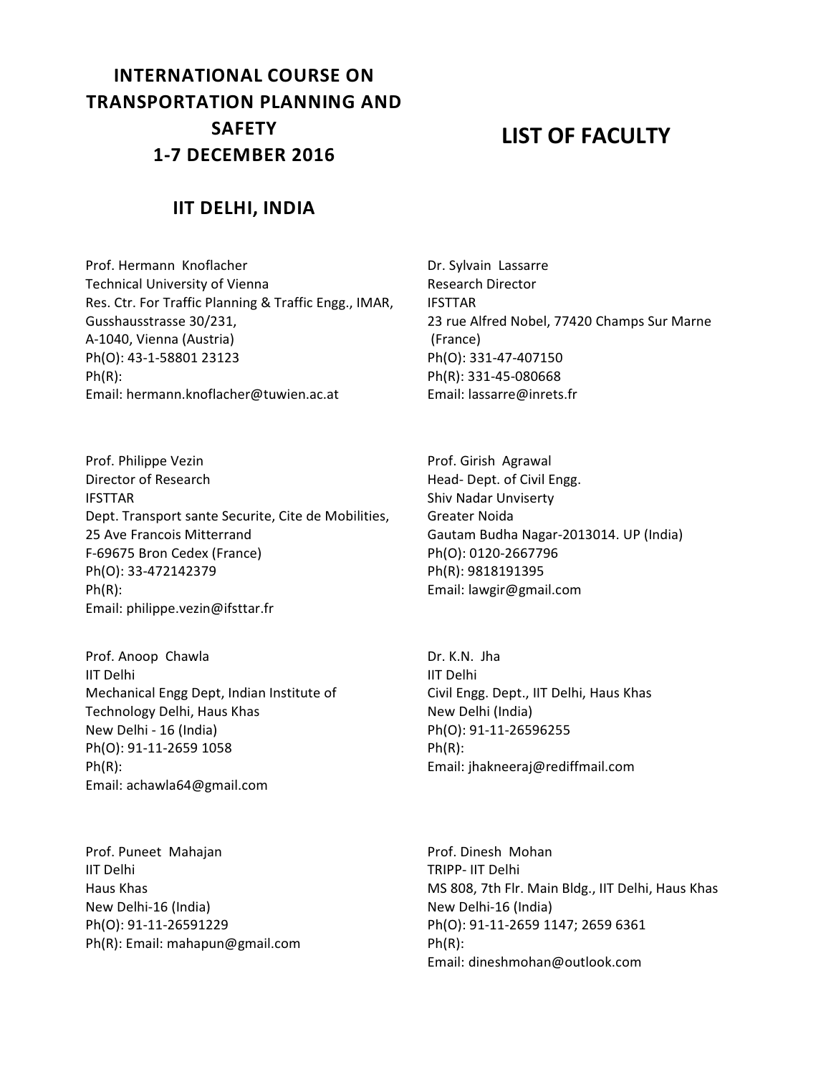# **INTERNATIONAL COURSE ON TRANSPORTATION PLANNING AND SAFETY 1-7 DECEMBER 2016**

## **LIST OF FACULTY**

### **IIT DELHI, INDIA**

Prof. Hermann Knoflacher Technical University of Vienna Res. Ctr. For Traffic Planning & Traffic Engg., IMAR, Gusshausstrasse 30/231, A-1040, Vienna (Austria) Ph(O): 43-1-58801 23123 Ph(R): Email: hermann.knoflacher@tuwien.ac.at

Prof. Philippe Vezin Director of Research IFSTTAR Dept. Transport sante Securite, Cite de Mobilities, 25 Ave Francois Mitterrand F-69675 Bron Cedex (France) Ph(O): 33-472142379 Ph(R): Email: philippe.vezin@ifsttar.fr

Prof. Anoop Chawla IIT Delhi Mechanical Engg Dept, Indian Institute of Technology Delhi, Haus Khas New Delhi - 16 (India) Ph(O): 91-11-2659 1058 Ph(R): Email: achawla64@gmail.com

Prof. Puneet Mahajan IIT Delhi Haus Khas New Delhi-16 (India) Ph(O): 91-11-26591229 Ph(R): Email: mahapun@gmail.com Dr. Sylvain Lassarre Research Director IFSTTAR 23 rue Alfred Nobel, 77420 Champs Sur Marne (France) Ph(O): 331-47-407150 Ph(R): 331-45-080668 Email: lassarre@inrets.fr

Prof. Girish Agrawal Head- Dept. of Civil Engg. Shiv Nadar Unviserty Greater Noida Gautam Budha Nagar-2013014. UP (India) Ph(O): 0120-2667796 Ph(R): 9818191395 Email: lawgir@gmail.com

Dr. K.N. Jha IIT Delhi Civil Engg. Dept., IIT Delhi, Haus Khas New Delhi (India) Ph(O): 91-11-26596255 Ph(R): Email: jhakneeraj@rediffmail.com

Prof. Dinesh Mohan TRIPP- IIT Delhi MS 808, 7th Flr. Main Bldg., IIT Delhi, Haus Khas New Delhi-16 (India) Ph(O): 91-11-2659 1147; 2659 6361 Ph(R): Email: dineshmohan@outlook.com